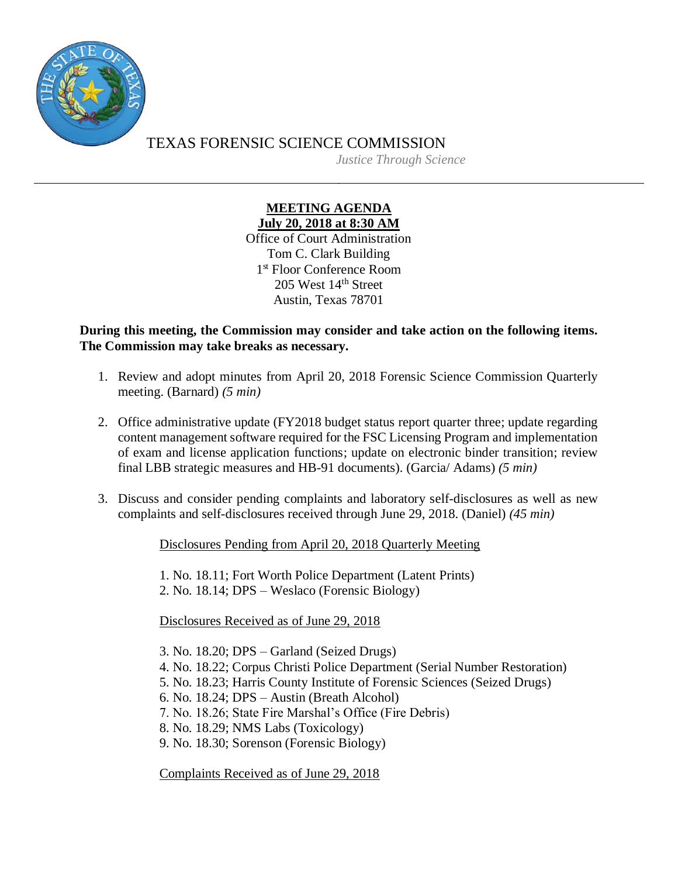

TEXAS FORENSIC SCIENCE COMMISSION *Justice Through Science*

> **MEETING AGENDA July 20, 2018 at 8:30 AM**

Office of Court Administration Tom C. Clark Building 1 st Floor Conference Room 205 West 14th Street Austin, Texas 78701

**During this meeting, the Commission may consider and take action on the following items. The Commission may take breaks as necessary.**

- 1. Review and adopt minutes from April 20, 2018 Forensic Science Commission Quarterly meeting. (Barnard) *(5 min)*
- 2. Office administrative update (FY2018 budget status report quarter three; update regarding content management software required for the FSC Licensing Program and implementation of exam and license application functions; update on electronic binder transition; review final LBB strategic measures and HB-91 documents). (Garcia/ Adams) *(5 min)*
- 3. Discuss and consider pending complaints and laboratory self-disclosures as well as new complaints and self-disclosures received through June 29, 2018. (Daniel) *(45 min)*

Disclosures Pending from April 20, 2018 Quarterly Meeting

1. No. 18.11; Fort Worth Police Department (Latent Prints)

2. No. 18.14; DPS – Weslaco (Forensic Biology)

Disclosures Received as of June 29, 2018

3. No. 18.20; DPS – Garland (Seized Drugs)

- 4. No. 18.22; Corpus Christi Police Department (Serial Number Restoration)
- 5. No. 18.23; Harris County Institute of Forensic Sciences (Seized Drugs)
- 6. No. 18.24; DPS Austin (Breath Alcohol)
- 7. No. 18.26; State Fire Marshal's Office (Fire Debris)
- 8. No. 18.29; NMS Labs (Toxicology)
- 9. No. 18.30; Sorenson (Forensic Biology)

Complaints Received as of June 29, 2018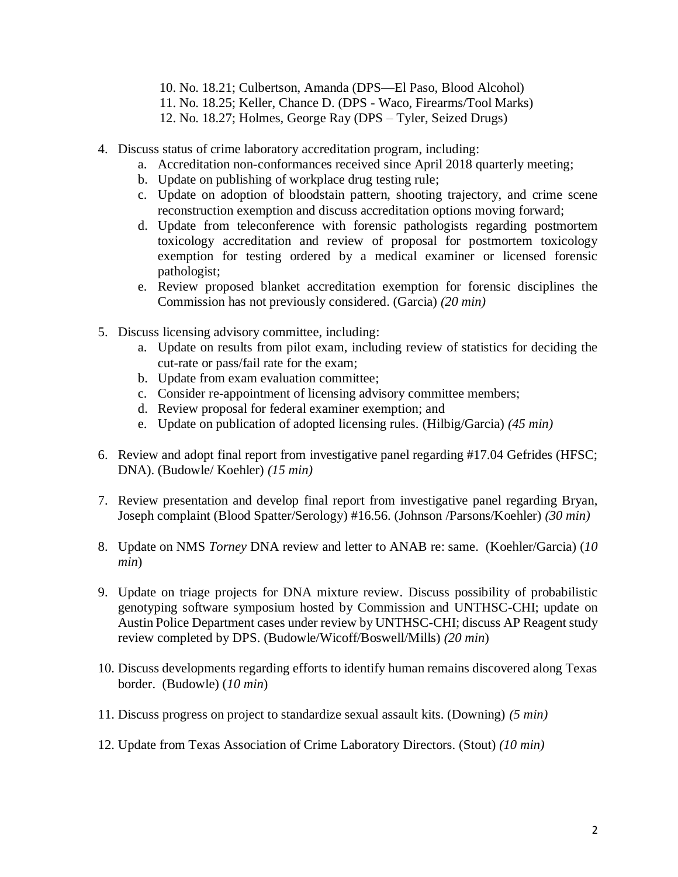- 10. No. 18.21; Culbertson, Amanda (DPS—El Paso, Blood Alcohol)
- 11. No. 18.25; Keller, Chance D. (DPS Waco, Firearms/Tool Marks)
- 12. No. 18.27; Holmes, George Ray (DPS Tyler, Seized Drugs)
- 4. Discuss status of crime laboratory accreditation program, including:
	- a. Accreditation non-conformances received since April 2018 quarterly meeting;
	- b. Update on publishing of workplace drug testing rule;
	- c. Update on adoption of bloodstain pattern, shooting trajectory, and crime scene reconstruction exemption and discuss accreditation options moving forward;
	- d. Update from teleconference with forensic pathologists regarding postmortem toxicology accreditation and review of proposal for postmortem toxicology exemption for testing ordered by a medical examiner or licensed forensic pathologist;
	- e. Review proposed blanket accreditation exemption for forensic disciplines the Commission has not previously considered. (Garcia) *(20 min)*
- 5. Discuss licensing advisory committee, including:
	- a. Update on results from pilot exam, including review of statistics for deciding the cut-rate or pass/fail rate for the exam;
	- b. Update from exam evaluation committee;
	- c. Consider re-appointment of licensing advisory committee members;
	- d. Review proposal for federal examiner exemption; and
	- e. Update on publication of adopted licensing rules. (Hilbig/Garcia) *(45 min)*
- 6. Review and adopt final report from investigative panel regarding #17.04 Gefrides (HFSC; DNA). (Budowle/ Koehler) *(15 min)*
- 7. Review presentation and develop final report from investigative panel regarding Bryan, Joseph complaint (Blood Spatter/Serology) #16.56. (Johnson /Parsons/Koehler) *(30 min)*
- 8. Update on NMS *Torney* DNA review and letter to ANAB re: same. (Koehler/Garcia) (*10 min*)
- 9. Update on triage projects for DNA mixture review. Discuss possibility of probabilistic genotyping software symposium hosted by Commission and UNTHSC-CHI; update on Austin Police Department cases under review by UNTHSC-CHI; discuss AP Reagent study review completed by DPS. (Budowle/Wicoff/Boswell/Mills) *(20 min*)
- 10. Discuss developments regarding efforts to identify human remains discovered along Texas border. (Budowle) (*10 min*)
- 11. Discuss progress on project to standardize sexual assault kits. (Downing) *(5 min)*
- 12. Update from Texas Association of Crime Laboratory Directors. (Stout) *(10 min)*